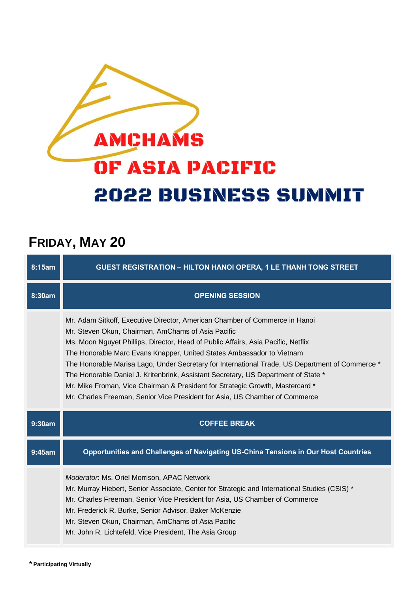## **AMCHAMS OF ASIA PACIFIC 2022 BUSINESS SUMMIT**

## **FRIDAY, MAY 20**

| 8:15am | <b>GUEST REGISTRATION - HILTON HANOI OPERA, 1 LE THANH TONG STREET</b>                                                                                                                                                                                                                                                                                                                                                                                                                                                                                                                                                                                   |
|--------|----------------------------------------------------------------------------------------------------------------------------------------------------------------------------------------------------------------------------------------------------------------------------------------------------------------------------------------------------------------------------------------------------------------------------------------------------------------------------------------------------------------------------------------------------------------------------------------------------------------------------------------------------------|
| 8:30am | <b>OPENING SESSION</b>                                                                                                                                                                                                                                                                                                                                                                                                                                                                                                                                                                                                                                   |
|        | Mr. Adam Sitkoff, Executive Director, American Chamber of Commerce in Hanoi<br>Mr. Steven Okun, Chairman, AmChams of Asia Pacific<br>Ms. Moon Nguyet Phillips, Director, Head of Public Affairs, Asia Pacific, Netflix<br>The Honorable Marc Evans Knapper, United States Ambassador to Vietnam<br>The Honorable Marisa Lago, Under Secretary for International Trade, US Department of Commerce *<br>The Honorable Daniel J. Kritenbrink, Assistant Secretary, US Department of State *<br>Mr. Mike Froman, Vice Chairman & President for Strategic Growth, Mastercard *<br>Mr. Charles Freeman, Senior Vice President for Asia, US Chamber of Commerce |
| 9:30am | <b>COFFEE BREAK</b>                                                                                                                                                                                                                                                                                                                                                                                                                                                                                                                                                                                                                                      |
| 9:45am | Opportunities and Challenges of Navigating US-China Tensions in Our Host Countries                                                                                                                                                                                                                                                                                                                                                                                                                                                                                                                                                                       |
|        | Moderator. Ms. Oriel Morrison, APAC Network<br>Mr. Murray Hiebert, Senior Associate, Center for Strategic and International Studies (CSIS) *<br>Mr. Charles Freeman, Senior Vice President for Asia, US Chamber of Commerce                                                                                                                                                                                                                                                                                                                                                                                                                              |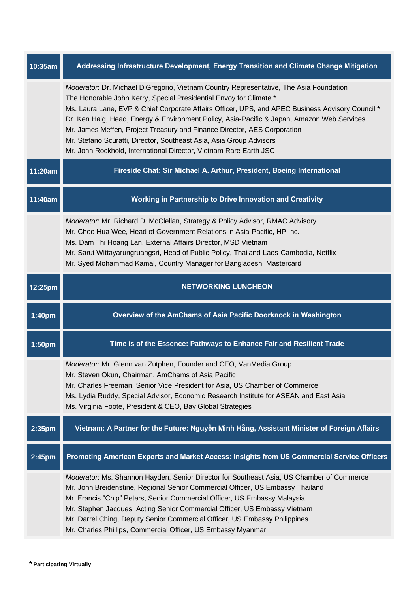| 10:35am | Addressing Infrastructure Development, Energy Transition and Climate Change Mitigation                                                                                                                                                                                                                                                                                                                                                                                                                                                                                                 |
|---------|----------------------------------------------------------------------------------------------------------------------------------------------------------------------------------------------------------------------------------------------------------------------------------------------------------------------------------------------------------------------------------------------------------------------------------------------------------------------------------------------------------------------------------------------------------------------------------------|
|         | Moderator: Dr. Michael DiGregorio, Vietnam Country Representative, The Asia Foundation<br>The Honorable John Kerry, Special Presidential Envoy for Climate *<br>Ms. Laura Lane, EVP & Chief Corporate Affairs Officer, UPS, and APEC Business Advisory Council *<br>Dr. Ken Haig, Head, Energy & Environment Policy, Asia-Pacific & Japan, Amazon Web Services<br>Mr. James Meffen, Project Treasury and Finance Director, AES Corporation<br>Mr. Stefano Scuratti, Director, Southeast Asia, Asia Group Advisors<br>Mr. John Rockhold, International Director, Vietnam Rare Earth JSC |
| 11:20am | Fireside Chat: Sir Michael A. Arthur, President, Boeing International                                                                                                                                                                                                                                                                                                                                                                                                                                                                                                                  |
| 11:40am | Working in Partnership to Drive Innovation and Creativity                                                                                                                                                                                                                                                                                                                                                                                                                                                                                                                              |
|         | Moderator: Mr. Richard D. McClellan, Strategy & Policy Advisor, RMAC Advisory<br>Mr. Choo Hua Wee, Head of Government Relations in Asia-Pacific, HP Inc.<br>Ms. Dam Thi Hoang Lan, External Affairs Director, MSD Vietnam<br>Mr. Sarut Wittayarungruangsri, Head of Public Policy, Thailand-Laos-Cambodia, Netflix<br>Mr. Syed Mohammad Kamal, Country Manager for Bangladesh, Mastercard                                                                                                                                                                                              |
| 12:25pm | <b>NETWORKING LUNCHEON</b>                                                                                                                                                                                                                                                                                                                                                                                                                                                                                                                                                             |
|         |                                                                                                                                                                                                                                                                                                                                                                                                                                                                                                                                                                                        |
| 1:40pm  | Overview of the AmChams of Asia Pacific Doorknock in Washington                                                                                                                                                                                                                                                                                                                                                                                                                                                                                                                        |
| 1:50pm  | Time is of the Essence: Pathways to Enhance Fair and Resilient Trade                                                                                                                                                                                                                                                                                                                                                                                                                                                                                                                   |
|         | Moderator: Mr. Glenn van Zutphen, Founder and CEO, VanMedia Group<br>Mr. Steven Okun, Chairman, AmChams of Asia Pacific<br>Mr. Charles Freeman, Senior Vice President for Asia, US Chamber of Commerce<br>Ms. Lydia Ruddy, Special Advisor, Economic Research Institute for ASEAN and East Asia<br>Ms. Virginia Foote, President & CEO, Bay Global Strategies                                                                                                                                                                                                                          |
| 2:35pm  | Vietnam: A Partner for the Future: Nguyễn Minh Hằng, Assistant Minister of Foreign Affairs                                                                                                                                                                                                                                                                                                                                                                                                                                                                                             |
| 2:45pm  | Promoting American Exports and Market Access: Insights from US Commercial Service Officers                                                                                                                                                                                                                                                                                                                                                                                                                                                                                             |